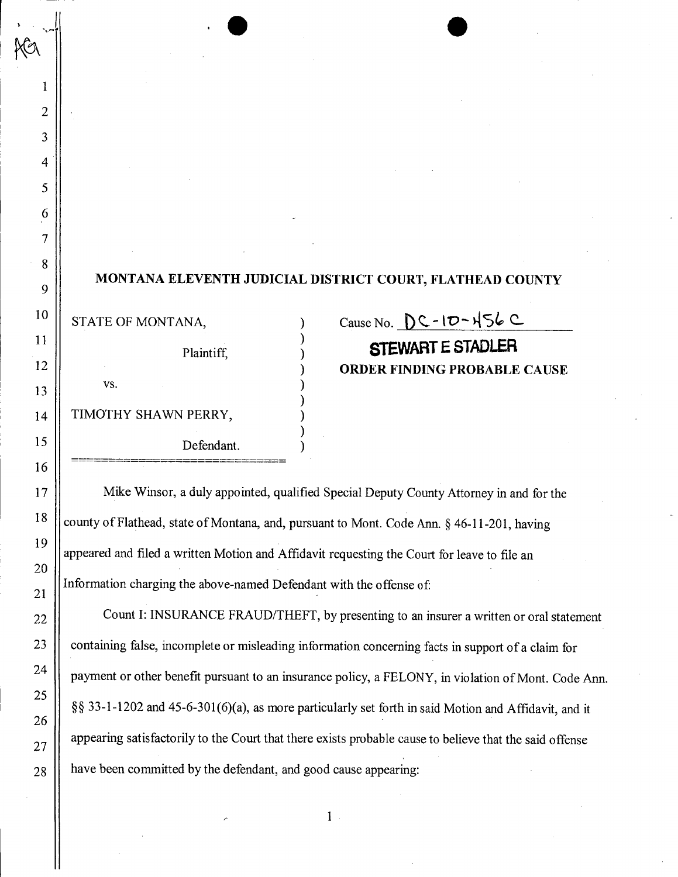## **MONTANA ELEVENTH JUDICIAL DISTRICT COURT, FLATHEAD COUNTY**

) ) ) ) ) ) ) ) )

Plaintiff, vs. Defendant. STATE OF MONTANA, TIMOTHY SHAWN PERRY,

1

 $\overline{2}$ 

3

4

5

6

7

8

9

10

11

12

13

14

15

16

17

18

19

20

21

22

23

24

25

26

27

28

**=============================**

## Cause No.  $DC - 1D - 156$   $C$ **STEWART E STADLER ORDER FINDING PROBABLE CAUSE**

Information charging the above-named Defendant with the offense of appeared and filed a written Motion and Affidavit requesting the Court for leave to file an Mike Winsor, a duly appointed, qualified Special Deputy County Attorney in and for the county of Flathead, state of Montana, and, pursuant to Mont. Code Ann.  $\S$  46-11-201, having

have been committed by the defendant, and good cause appearing: Count I: INSURANCE FRAUD/THEFT, by presenting to an insurer a written or oral statement  $\S$ § 33-1-1202 and 45-6-301(6)(a), as more particularly set forth in said Motion and Affidavit, and it appearing satisfactorily to the Court that there exists probable cause to believe that the said offense payment or other benefit pursuant to an insurance policy, a FELONY, in violation of Mont. Code Ann. containing false, incomplete or misleading information concerning facts in support of a claim for

1